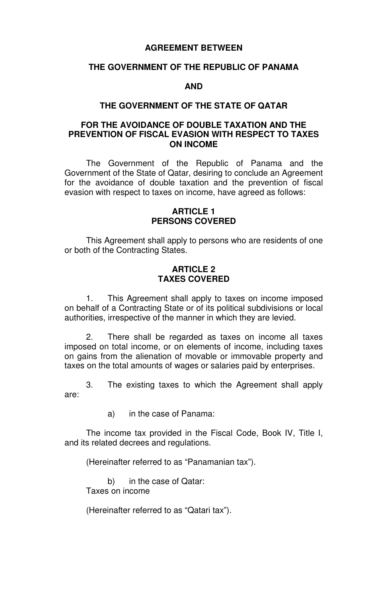#### **AGREEMENT BETWEEN**

## **THE GOVERNMENT OF THE REPUBLIC OF PANAMA**

## **AND**

## **THE GOVERNMENT OF THE STATE OF QATAR**

#### **FOR THE AVOIDANCE OF DOUBLE TAXATION AND THE PREVENTION OF FISCAL EVASION WITH RESPECT TO TAXES ON INCOME**

The Government of the Republic of Panama and the Government of the State of Qatar, desiring to conclude an Agreement for the avoidance of double taxation and the prevention of fiscal evasion with respect to taxes on income, have agreed as follows:

#### **ARTICLE 1 PERSONS COVERED**

This Agreement shall apply to persons who are residents of one or both of the Contracting States.

#### **ARTICLE 2 TAXES COVERED**

1. This Agreement shall apply to taxes on income imposed on behalf of a Contracting State or of its political subdivisions or local authorities, irrespective of the manner in which they are levied.

2. There shall be regarded as taxes on income all taxes imposed on total income, or on elements of income, including taxes on gains from the alienation of movable or immovable property and taxes on the total amounts of wages or salaries paid by enterprises.

3. The existing taxes to which the Agreement shall apply are:

a) in the case of Panama:

The income tax provided in the Fiscal Code, Book IV, Title I, and its related decrees and regulations.

(Hereinafter referred to as "Panamanian tax").

b) in the case of Qatar: Taxes on income

(Hereinafter referred to as "Qatari tax").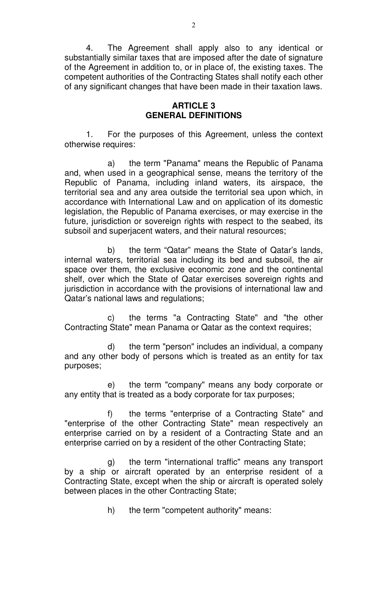4. The Agreement shall apply also to any identical or substantially similar taxes that are imposed after the date of signature of the Agreement in addition to, or in place of, the existing taxes. The competent authorities of the Contracting States shall notify each other of any significant changes that have been made in their taxation laws.

#### **ARTICLE 3 GENERAL DEFINITIONS**

1. For the purposes of this Agreement, unless the context otherwise requires:

a) the term "Panama" means the Republic of Panama and, when used in a geographical sense, means the territory of the Republic of Panama, including inland waters, its airspace, the territorial sea and any area outside the territorial sea upon which, in accordance with International Law and on application of its domestic legislation, the Republic of Panama exercises, or may exercise in the future, jurisdiction or sovereign rights with respect to the seabed, its subsoil and superjacent waters, and their natural resources;

b) the term "Qatar" means the State of Qatar's lands, internal waters, territorial sea including its bed and subsoil, the air space over them, the exclusive economic zone and the continental shelf, over which the State of Qatar exercises sovereign rights and jurisdiction in accordance with the provisions of international law and Qatar's national laws and regulations;

c) the terms "a Contracting State" and "the other Contracting State" mean Panama or Qatar as the context requires;

d) the term "person" includes an individual, a company and any other body of persons which is treated as an entity for tax purposes;

e) the term "company" means any body corporate or any entity that is treated as a body corporate for tax purposes;

f) the terms "enterprise of a Contracting State" and "enterprise of the other Contracting State" mean respectively an enterprise carried on by a resident of a Contracting State and an enterprise carried on by a resident of the other Contracting State;

g) the term "international traffic" means any transport by a ship or aircraft operated by an enterprise resident of a Contracting State, except when the ship or aircraft is operated solely between places in the other Contracting State;

h) the term "competent authority" means: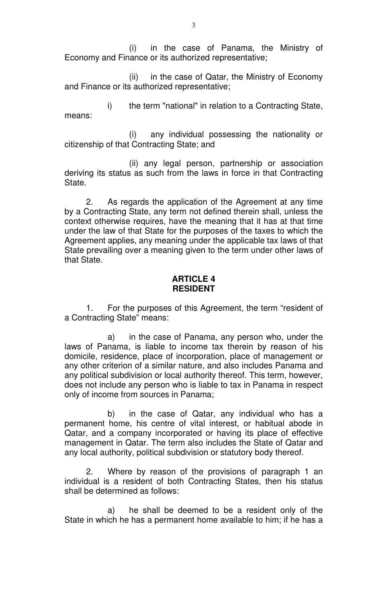(i) in the case of Panama, the Ministry of Economy and Finance or its authorized representative;

(ii) in the case of Qatar, the Ministry of Economy and Finance or its authorized representative;

i) the term "national" in relation to a Contracting State, means:

(i) any individual possessing the nationality or citizenship of that Contracting State; and

(ii) any legal person, partnership or association deriving its status as such from the laws in force in that Contracting State.

2. As regards the application of the Agreement at any time by a Contracting State, any term not defined therein shall, unless the context otherwise requires, have the meaning that it has at that time under the law of that State for the purposes of the taxes to which the Agreement applies, any meaning under the applicable tax laws of that State prevailing over a meaning given to the term under other laws of that State.

## **ARTICLE 4 RESIDENT**

1. For the purposes of this Agreement, the term "resident of a Contracting State" means:

a) in the case of Panama, any person who, under the laws of Panama, is liable to income tax therein by reason of his domicile, residence, place of incorporation, place of management or any other criterion of a similar nature, and also includes Panama and any political subdivision or local authority thereof. This term, however, does not include any person who is liable to tax in Panama in respect only of income from sources in Panama;

b) in the case of Qatar, any individual who has a permanent home, his centre of vital interest, or habitual abode in Qatar, and a company incorporated or having its place of effective management in Qatar. The term also includes the State of Qatar and any local authority, political subdivision or statutory body thereof.

2. Where by reason of the provisions of paragraph 1 an individual is a resident of both Contracting States, then his status shall be determined as follows:

a) he shall be deemed to be a resident only of the State in which he has a permanent home available to him; if he has a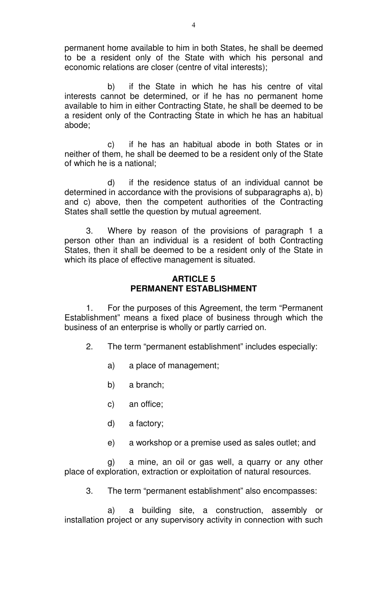permanent home available to him in both States, he shall be deemed to be a resident only of the State with which his personal and economic relations are closer (centre of vital interests);

b) if the State in which he has his centre of vital interests cannot be determined, or if he has no permanent home available to him in either Contracting State, he shall be deemed to be a resident only of the Contracting State in which he has an habitual abode;

c) if he has an habitual abode in both States or in neither of them, he shall be deemed to be a resident only of the State of which he is a national;

d) if the residence status of an individual cannot be determined in accordance with the provisions of subparagraphs a), b) and c) above, then the competent authorities of the Contracting States shall settle the question by mutual agreement.

3. Where by reason of the provisions of paragraph 1 a person other than an individual is a resident of both Contracting States, then it shall be deemed to be a resident only of the State in which its place of effective management is situated.

## **ARTICLE 5 PERMANENT ESTABLISHMENT**

1. For the purposes of this Agreement, the term "Permanent Establishment" means a fixed place of business through which the business of an enterprise is wholly or partly carried on.

- 2. The term "permanent establishment" includes especially:
	- a) a place of management;
	- b) a branch;
	- c) an office;
	- d) a factory;
	- e) a workshop or a premise used as sales outlet; and

g) a mine, an oil or gas well, a quarry or any other place of exploration, extraction or exploitation of natural resources.

3. The term "permanent establishment" also encompasses:

a) a building site, a construction, assembly or installation project or any supervisory activity in connection with such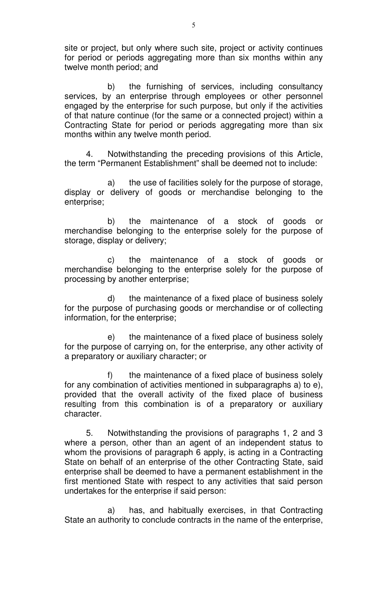site or project, but only where such site, project or activity continues for period or periods aggregating more than six months within any twelve month period; and

b) the furnishing of services, including consultancy services, by an enterprise through employees or other personnel engaged by the enterprise for such purpose, but only if the activities of that nature continue (for the same or a connected project) within a Contracting State for period or periods aggregating more than six months within any twelve month period.

4. Notwithstanding the preceding provisions of this Article, the term "Permanent Establishment" shall be deemed not to include:

a) the use of facilities solely for the purpose of storage, display or delivery of goods or merchandise belonging to the enterprise;

b) the maintenance of a stock of goods or merchandise belonging to the enterprise solely for the purpose of storage, display or delivery;

c) the maintenance of a stock of goods or merchandise belonging to the enterprise solely for the purpose of processing by another enterprise;

d) the maintenance of a fixed place of business solely for the purpose of purchasing goods or merchandise or of collecting information, for the enterprise;

e) the maintenance of a fixed place of business solely for the purpose of carrying on, for the enterprise, any other activity of a preparatory or auxiliary character; or

f) the maintenance of a fixed place of business solely for any combination of activities mentioned in subparagraphs a) to e), provided that the overall activity of the fixed place of business resulting from this combination is of a preparatory or auxiliary character.

5. Notwithstanding the provisions of paragraphs 1, 2 and 3 where a person, other than an agent of an independent status to whom the provisions of paragraph 6 apply, is acting in a Contracting State on behalf of an enterprise of the other Contracting State, said enterprise shall be deemed to have a permanent establishment in the first mentioned State with respect to any activities that said person undertakes for the enterprise if said person:

a) has, and habitually exercises, in that Contracting State an authority to conclude contracts in the name of the enterprise,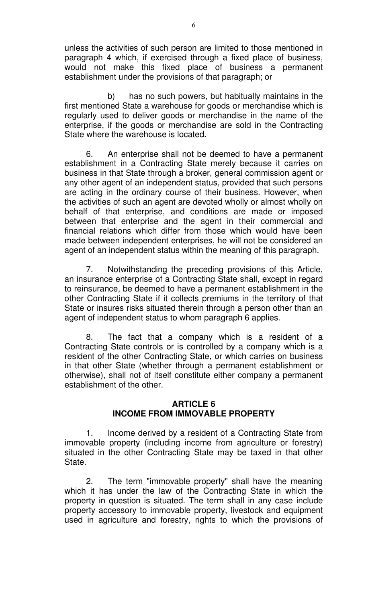unless the activities of such person are limited to those mentioned in paragraph 4 which, if exercised through a fixed place of business, would not make this fixed place of business a permanent establishment under the provisions of that paragraph; or

b) has no such powers, but habitually maintains in the first mentioned State a warehouse for goods or merchandise which is regularly used to deliver goods or merchandise in the name of the enterprise, if the goods or merchandise are sold in the Contracting State where the warehouse is located.

6. An enterprise shall not be deemed to have a permanent establishment in a Contracting State merely because it carries on business in that State through a broker, general commission agent or any other agent of an independent status, provided that such persons are acting in the ordinary course of their business. However, when the activities of such an agent are devoted wholly or almost wholly on behalf of that enterprise, and conditions are made or imposed between that enterprise and the agent in their commercial and financial relations which differ from those which would have been made between independent enterprises, he will not be considered an agent of an independent status within the meaning of this paragraph.

7. Notwithstanding the preceding provisions of this Article, an insurance enterprise of a Contracting State shall, except in regard to reinsurance, be deemed to have a permanent establishment in the other Contracting State if it collects premiums in the territory of that State or insures risks situated therein through a person other than an agent of independent status to whom paragraph 6 applies.

8. The fact that a company which is a resident of a Contracting State controls or is controlled by a company which is a resident of the other Contracting State, or which carries on business in that other State (whether through a permanent establishment or otherwise), shall not of itself constitute either company a permanent establishment of the other.

#### **ARTICLE 6 INCOME FROM IMMOVABLE PROPERTY**

1. Income derived by a resident of a Contracting State from immovable property (including income from agriculture or forestry) situated in the other Contracting State may be taxed in that other State.

2. The term "immovable property" shall have the meaning which it has under the law of the Contracting State in which the property in question is situated. The term shall in any case include property accessory to immovable property, livestock and equipment used in agriculture and forestry, rights to which the provisions of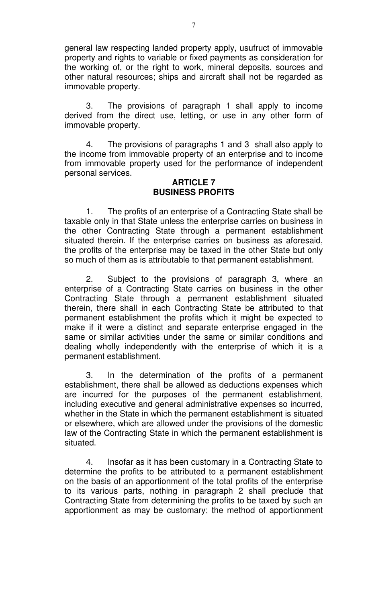general law respecting landed property apply, usufruct of immovable property and rights to variable or fixed payments as consideration for the working of, or the right to work, mineral deposits, sources and other natural resources; ships and aircraft shall not be regarded as immovable property.

3. The provisions of paragraph 1 shall apply to income derived from the direct use, letting, or use in any other form of immovable property.

4. The provisions of paragraphs 1 and 3 shall also apply to the income from immovable property of an enterprise and to income from immovable property used for the performance of independent personal services.

#### **ARTICLE 7 BUSINESS PROFITS**

1. The profits of an enterprise of a Contracting State shall be taxable only in that State unless the enterprise carries on business in the other Contracting State through a permanent establishment situated therein. If the enterprise carries on business as aforesaid, the profits of the enterprise may be taxed in the other State but only so much of them as is attributable to that permanent establishment.

2. Subject to the provisions of paragraph 3, where an enterprise of a Contracting State carries on business in the other Contracting State through a permanent establishment situated therein, there shall in each Contracting State be attributed to that permanent establishment the profits which it might be expected to make if it were a distinct and separate enterprise engaged in the same or similar activities under the same or similar conditions and dealing wholly independently with the enterprise of which it is a permanent establishment.

3. In the determination of the profits of a permanent establishment, there shall be allowed as deductions expenses which are incurred for the purposes of the permanent establishment, including executive and general administrative expenses so incurred, whether in the State in which the permanent establishment is situated or elsewhere, which are allowed under the provisions of the domestic law of the Contracting State in which the permanent establishment is situated.

4. Insofar as it has been customary in a Contracting State to determine the profits to be attributed to a permanent establishment on the basis of an apportionment of the total profits of the enterprise to its various parts, nothing in paragraph 2 shall preclude that Contracting State from determining the profits to be taxed by such an apportionment as may be customary; the method of apportionment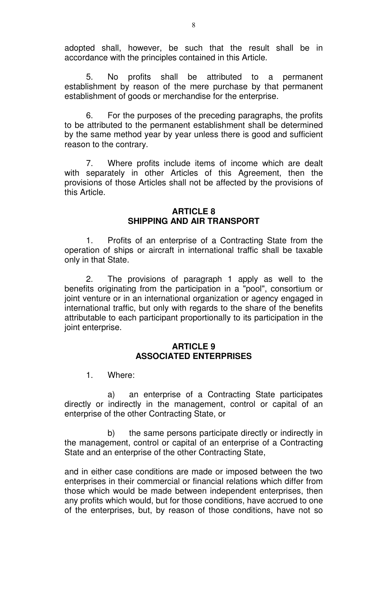adopted shall, however, be such that the result shall be in accordance with the principles contained in this Article.

5. No profits shall be attributed to a permanent establishment by reason of the mere purchase by that permanent establishment of goods or merchandise for the enterprise.

6. For the purposes of the preceding paragraphs, the profits to be attributed to the permanent establishment shall be determined by the same method year by year unless there is good and sufficient reason to the contrary.

7. Where profits include items of income which are dealt with separately in other Articles of this Agreement, then the provisions of those Articles shall not be affected by the provisions of this Article.

## **ARTICLE 8 SHIPPING AND AIR TRANSPORT**

1. Profits of an enterprise of a Contracting State from the operation of ships or aircraft in international traffic shall be taxable only in that State.

2. The provisions of paragraph 1 apply as well to the benefits originating from the participation in a "pool", consortium or joint venture or in an international organization or agency engaged in international traffic, but only with regards to the share of the benefits attributable to each participant proportionally to its participation in the joint enterprise.

## **ARTICLE 9 ASSOCIATED ENTERPRISES**

1. Where:

a) an enterprise of a Contracting State participates directly or indirectly in the management, control or capital of an enterprise of the other Contracting State, or

b) the same persons participate directly or indirectly in the management, control or capital of an enterprise of a Contracting State and an enterprise of the other Contracting State,

and in either case conditions are made or imposed between the two enterprises in their commercial or financial relations which differ from those which would be made between independent enterprises, then any profits which would, but for those conditions, have accrued to one of the enterprises, but, by reason of those conditions, have not so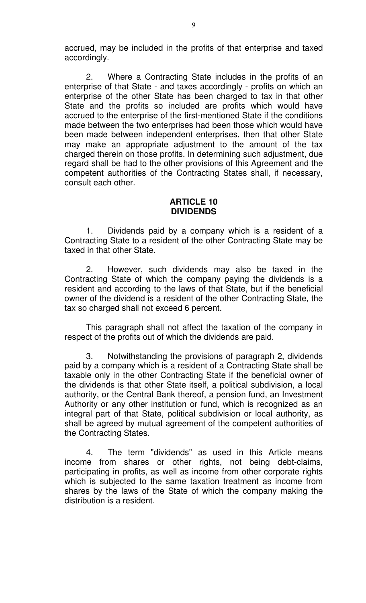accrued, may be included in the profits of that enterprise and taxed accordingly.

2. Where a Contracting State includes in the profits of an enterprise of that State - and taxes accordingly - profits on which an enterprise of the other State has been charged to tax in that other State and the profits so included are profits which would have accrued to the enterprise of the first-mentioned State if the conditions made between the two enterprises had been those which would have been made between independent enterprises, then that other State may make an appropriate adjustment to the amount of the tax charged therein on those profits. In determining such adjustment, due regard shall be had to the other provisions of this Agreement and the competent authorities of the Contracting States shall, if necessary, consult each other.

#### **ARTICLE 10 DIVIDENDS**

1. Dividends paid by a company which is a resident of a Contracting State to a resident of the other Contracting State may be taxed in that other State.

2. However, such dividends may also be taxed in the Contracting State of which the company paying the dividends is a resident and according to the laws of that State, but if the beneficial owner of the dividend is a resident of the other Contracting State, the tax so charged shall not exceed 6 percent.

This paragraph shall not affect the taxation of the company in respect of the profits out of which the dividends are paid.

3. Notwithstanding the provisions of paragraph 2, dividends paid by a company which is a resident of a Contracting State shall be taxable only in the other Contracting State if the beneficial owner of the dividends is that other State itself, a political subdivision, a local authority, or the Central Bank thereof, a pension fund, an Investment Authority or any other institution or fund, which is recognized as an integral part of that State, political subdivision or local authority, as shall be agreed by mutual agreement of the competent authorities of the Contracting States.

4. The term "dividends" as used in this Article means income from shares or other rights, not being debt-claims, participating in profits, as well as income from other corporate rights which is subjected to the same taxation treatment as income from shares by the laws of the State of which the company making the distribution is a resident.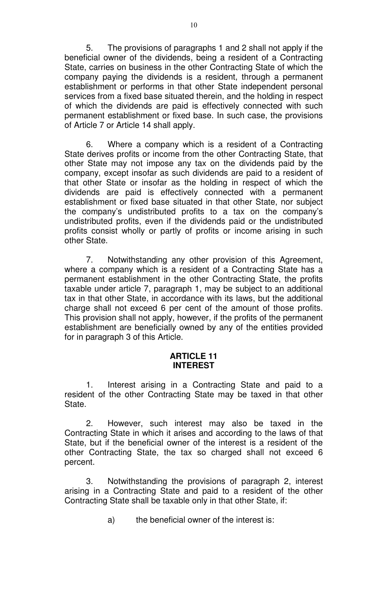5. The provisions of paragraphs 1 and 2 shall not apply if the beneficial owner of the dividends, being a resident of a Contracting State, carries on business in the other Contracting State of which the company paying the dividends is a resident, through a permanent establishment or performs in that other State independent personal services from a fixed base situated therein, and the holding in respect of which the dividends are paid is effectively connected with such permanent establishment or fixed base. In such case, the provisions of Article 7 or Article 14 shall apply.

6. Where a company which is a resident of a Contracting State derives profits or income from the other Contracting State, that other State may not impose any tax on the dividends paid by the company, except insofar as such dividends are paid to a resident of that other State or insofar as the holding in respect of which the dividends are paid is effectively connected with a permanent establishment or fixed base situated in that other State, nor subject the company's undistributed profits to a tax on the company's undistributed profits, even if the dividends paid or the undistributed profits consist wholly or partly of profits or income arising in such other State.

7. Notwithstanding any other provision of this Agreement, where a company which is a resident of a Contracting State has a permanent establishment in the other Contracting State, the profits taxable under article 7, paragraph 1, may be subject to an additional tax in that other State, in accordance with its laws, but the additional charge shall not exceed 6 per cent of the amount of those profits. This provision shall not apply, however, if the profits of the permanent establishment are beneficially owned by any of the entities provided for in paragraph 3 of this Article.

## **ARTICLE 11 INTEREST**

1. Interest arising in a Contracting State and paid to a resident of the other Contracting State may be taxed in that other State.

2. However, such interest may also be taxed in the Contracting State in which it arises and according to the laws of that State, but if the beneficial owner of the interest is a resident of the other Contracting State, the tax so charged shall not exceed 6 percent.

3. Notwithstanding the provisions of paragraph 2, interest arising in a Contracting State and paid to a resident of the other Contracting State shall be taxable only in that other State, if:

a) the beneficial owner of the interest is: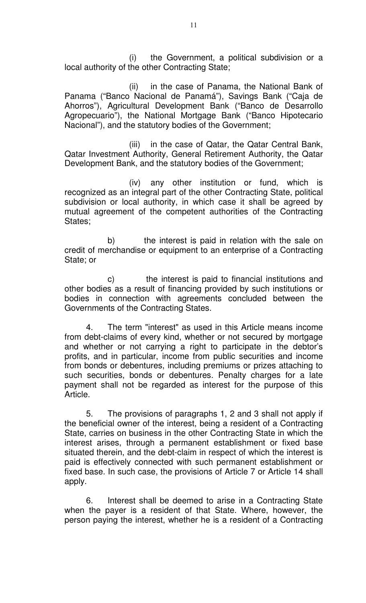(i) the Government, a political subdivision or a local authority of the other Contracting State;

(ii) in the case of Panama, the National Bank of Panama ("Banco Nacional de Panamá"), Savings Bank ("Caja de Ahorros"), Agricultural Development Bank ("Banco de Desarrollo Agropecuario"), the National Mortgage Bank ("Banco Hipotecario Nacional"), and the statutory bodies of the Government;

(iii) in the case of Qatar, the Qatar Central Bank, Qatar Investment Authority, General Retirement Authority, the Qatar Development Bank, and the statutory bodies of the Government;

(iv) any other institution or fund, which is recognized as an integral part of the other Contracting State, political subdivision or local authority, in which case it shall be agreed by mutual agreement of the competent authorities of the Contracting States;

b) the interest is paid in relation with the sale on credit of merchandise or equipment to an enterprise of a Contracting State; or

c) the interest is paid to financial institutions and other bodies as a result of financing provided by such institutions or bodies in connection with agreements concluded between the Governments of the Contracting States.

4. The term "interest" as used in this Article means income from debt-claims of every kind, whether or not secured by mortgage and whether or not carrying a right to participate in the debtor's profits, and in particular, income from public securities and income from bonds or debentures, including premiums or prizes attaching to such securities, bonds or debentures. Penalty charges for a late payment shall not be regarded as interest for the purpose of this Article.

5. The provisions of paragraphs 1, 2 and 3 shall not apply if the beneficial owner of the interest, being a resident of a Contracting State, carries on business in the other Contracting State in which the interest arises, through a permanent establishment or fixed base situated therein, and the debt-claim in respect of which the interest is paid is effectively connected with such permanent establishment or fixed base. In such case, the provisions of Article 7 or Article 14 shall apply.

6. Interest shall be deemed to arise in a Contracting State when the payer is a resident of that State. Where, however, the person paying the interest, whether he is a resident of a Contracting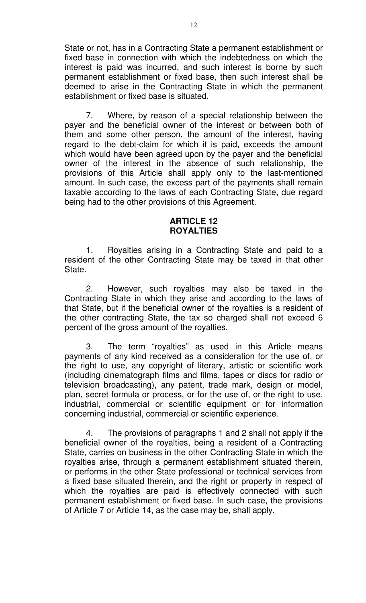State or not, has in a Contracting State a permanent establishment or fixed base in connection with which the indebtedness on which the interest is paid was incurred, and such interest is borne by such permanent establishment or fixed base, then such interest shall be deemed to arise in the Contracting State in which the permanent establishment or fixed base is situated.

7. Where, by reason of a special relationship between the payer and the beneficial owner of the interest or between both of them and some other person, the amount of the interest, having regard to the debt-claim for which it is paid, exceeds the amount which would have been agreed upon by the payer and the beneficial owner of the interest in the absence of such relationship, the provisions of this Article shall apply only to the last-mentioned amount. In such case, the excess part of the payments shall remain taxable according to the laws of each Contracting State, due regard being had to the other provisions of this Agreement.

## **ARTICLE 12 ROYALTIES**

1. Royalties arising in a Contracting State and paid to a resident of the other Contracting State may be taxed in that other State.

2. However, such royalties may also be taxed in the Contracting State in which they arise and according to the laws of that State, but if the beneficial owner of the royalties is a resident of the other contracting State, the tax so charged shall not exceed 6 percent of the gross amount of the royalties.

3. The term "royalties" as used in this Article means payments of any kind received as a consideration for the use of, or the right to use, any copyright of literary, artistic or scientific work (including cinematograph films and films, tapes or discs for radio or television broadcasting), any patent, trade mark, design or model, plan, secret formula or process, or for the use of, or the right to use, industrial, commercial or scientific equipment or for information concerning industrial, commercial or scientific experience.

4. The provisions of paragraphs 1 and 2 shall not apply if the beneficial owner of the royalties, being a resident of a Contracting State, carries on business in the other Contracting State in which the royalties arise, through a permanent establishment situated therein, or performs in the other State professional or technical services from a fixed base situated therein, and the right or property in respect of which the royalties are paid is effectively connected with such permanent establishment or fixed base. In such case, the provisions of Article 7 or Article 14, as the case may be, shall apply.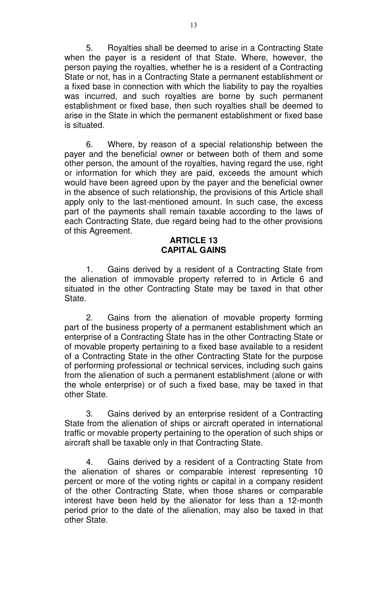5. Royalties shall be deemed to arise in a Contracting State when the payer is a resident of that State. Where, however, the person paying the royalties, whether he is a resident of a Contracting State or not, has in a Contracting State a permanent establishment or a fixed base in connection with which the liability to pay the royalties was incurred, and such royalties are borne by such permanent establishment or fixed base, then such royalties shall be deemed to arise in the State in which the permanent establishment or fixed base is situated.

6. Where, by reason of a special relationship between the payer and the beneficial owner or between both of them and some other person, the amount of the royalties, having regard the use, right or information for which they are paid, exceeds the amount which would have been agreed upon by the payer and the beneficial owner in the absence of such relationship, the provisions of this Article shall apply only to the last-mentioned amount. In such case, the excess part of the payments shall remain taxable according to the laws of each Contracting State, due regard being had to the other provisions of this Agreement.

#### **ARTICLE 13 CAPITAL GAINS**

1. Gains derived by a resident of a Contracting State from the alienation of immovable property referred to in Article 6 and situated in the other Contracting State may be taxed in that other State.

2. Gains from the alienation of movable property forming part of the business property of a permanent establishment which an enterprise of a Contracting State has in the other Contracting State or of movable property pertaining to a fixed base available to a resident of a Contracting State in the other Contracting State for the purpose of performing professional or technical services, including such gains from the alienation of such a permanent establishment (alone or with the whole enterprise) or of such a fixed base, may be taxed in that other State.

3. Gains derived by an enterprise resident of a Contracting State from the alienation of ships or aircraft operated in international traffic or movable property pertaining to the operation of such ships or aircraft shall be taxable only in that Contracting State.

4. Gains derived by a resident of a Contracting State from the alienation of shares or comparable interest representing 10 percent or more of the voting rights or capital in a company resident of the other Contracting State, when those shares or comparable interest have been held by the alienator for less than a 12-month period prior to the date of the alienation, may also be taxed in that other State.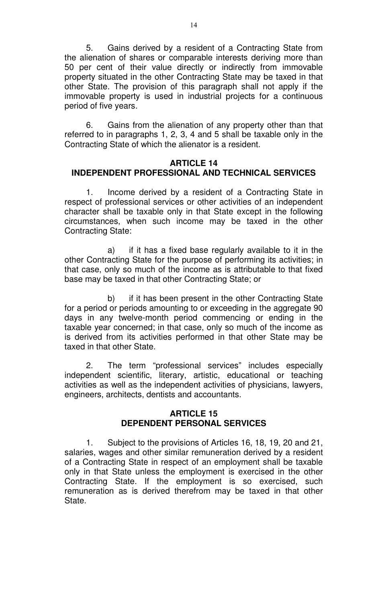5. Gains derived by a resident of a Contracting State from the alienation of shares or comparable interests deriving more than 50 per cent of their value directly or indirectly from immovable property situated in the other Contracting State may be taxed in that other State. The provision of this paragraph shall not apply if the immovable property is used in industrial projects for a continuous period of five years.

6. Gains from the alienation of any property other than that referred to in paragraphs 1, 2, 3, 4 and 5 shall be taxable only in the Contracting State of which the alienator is a resident.

#### **ARTICLE 14 INDEPENDENT PROFESSIONAL AND TECHNICAL SERVICES**

1. Income derived by a resident of a Contracting State in respect of professional services or other activities of an independent character shall be taxable only in that State except in the following circumstances, when such income may be taxed in the other Contracting State:

a) if it has a fixed base regularly available to it in the other Contracting State for the purpose of performing its activities; in that case, only so much of the income as is attributable to that fixed base may be taxed in that other Contracting State; or

b) if it has been present in the other Contracting State for a period or periods amounting to or exceeding in the aggregate 90 days in any twelve-month period commencing or ending in the taxable year concerned; in that case, only so much of the income as is derived from its activities performed in that other State may be taxed in that other State.

2. The term "professional services" includes especially independent scientific, literary, artistic, educational or teaching activities as well as the independent activities of physicians, lawyers, engineers, architects, dentists and accountants.

#### **ARTICLE 15 DEPENDENT PERSONAL SERVICES**

1. Subject to the provisions of Articles 16, 18, 19, 20 and 21, salaries, wages and other similar remuneration derived by a resident of a Contracting State in respect of an employment shall be taxable only in that State unless the employment is exercised in the other Contracting State. If the employment is so exercised, such remuneration as is derived therefrom may be taxed in that other State.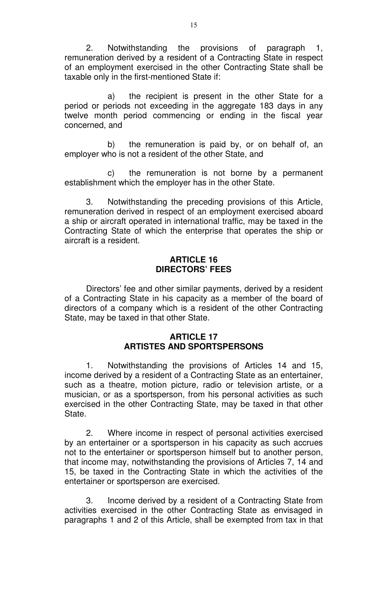2. Notwithstanding the provisions of paragraph 1, remuneration derived by a resident of a Contracting State in respect of an employment exercised in the other Contracting State shall be taxable only in the first-mentioned State if:

a) the recipient is present in the other State for a period or periods not exceeding in the aggregate 183 days in any twelve month period commencing or ending in the fiscal year concerned, and

b) the remuneration is paid by, or on behalf of, an employer who is not a resident of the other State, and

c) the remuneration is not borne by a permanent establishment which the employer has in the other State.

3. Notwithstanding the preceding provisions of this Article, remuneration derived in respect of an employment exercised aboard a ship or aircraft operated in international traffic, may be taxed in the Contracting State of which the enterprise that operates the ship or aircraft is a resident.

#### **ARTICLE 16 DIRECTORS' FEES**

Directors' fee and other similar payments, derived by a resident of a Contracting State in his capacity as a member of the board of directors of a company which is a resident of the other Contracting State, may be taxed in that other State.

## **ARTICLE 17 ARTISTES AND SPORTSPERSONS**

1. Notwithstanding the provisions of Articles 14 and 15, income derived by a resident of a Contracting State as an entertainer, such as a theatre, motion picture, radio or television artiste, or a musician, or as a sportsperson, from his personal activities as such exercised in the other Contracting State, may be taxed in that other State.

2. Where income in respect of personal activities exercised by an entertainer or a sportsperson in his capacity as such accrues not to the entertainer or sportsperson himself but to another person, that income may, notwithstanding the provisions of Articles 7, 14 and 15, be taxed in the Contracting State in which the activities of the entertainer or sportsperson are exercised.

3. Income derived by a resident of a Contracting State from activities exercised in the other Contracting State as envisaged in paragraphs 1 and 2 of this Article, shall be exempted from tax in that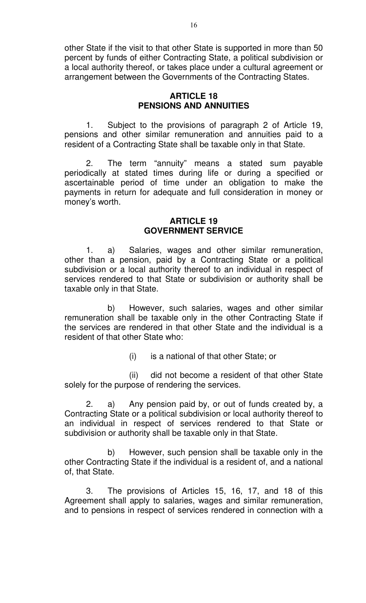other State if the visit to that other State is supported in more than 50 percent by funds of either Contracting State, a political subdivision or a local authority thereof, or takes place under a cultural agreement or arrangement between the Governments of the Contracting States.

#### **ARTICLE 18 PENSIONS AND ANNUITIES**

1. Subject to the provisions of paragraph 2 of Article 19, pensions and other similar remuneration and annuities paid to a resident of a Contracting State shall be taxable only in that State.

2. The term "annuity" means a stated sum payable periodically at stated times during life or during a specified or ascertainable period of time under an obligation to make the payments in return for adequate and full consideration in money or money's worth.

#### **ARTICLE 19 GOVERNMENT SERVICE**

1. a) Salaries, wages and other similar remuneration, other than a pension, paid by a Contracting State or a political subdivision or a local authority thereof to an individual in respect of services rendered to that State or subdivision or authority shall be taxable only in that State.

b) However, such salaries, wages and other similar remuneration shall be taxable only in the other Contracting State if the services are rendered in that other State and the individual is a resident of that other State who:

(i) is a national of that other State; or

(ii) did not become a resident of that other State solely for the purpose of rendering the services.

2. a) Any pension paid by, or out of funds created by, a Contracting State or a political subdivision or local authority thereof to an individual in respect of services rendered to that State or subdivision or authority shall be taxable only in that State.

b) However, such pension shall be taxable only in the other Contracting State if the individual is a resident of, and a national of, that State.

3. The provisions of Articles 15, 16, 17, and 18 of this Agreement shall apply to salaries, wages and similar remuneration, and to pensions in respect of services rendered in connection with a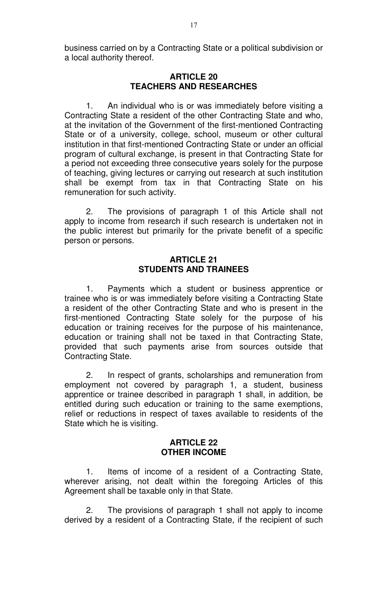business carried on by a Contracting State or a political subdivision or a local authority thereof.

#### **ARTICLE 20 TEACHERS AND RESEARCHES**

1. An individual who is or was immediately before visiting a Contracting State a resident of the other Contracting State and who, at the invitation of the Government of the first-mentioned Contracting State or of a university, college, school, museum or other cultural institution in that first-mentioned Contracting State or under an official program of cultural exchange, is present in that Contracting State for a period not exceeding three consecutive years solely for the purpose of teaching, giving lectures or carrying out research at such institution shall be exempt from tax in that Contracting State on his remuneration for such activity.

2. The provisions of paragraph 1 of this Article shall not apply to income from research if such research is undertaken not in the public interest but primarily for the private benefit of a specific person or persons.

#### **ARTICLE 21 STUDENTS AND TRAINEES**

1. Payments which a student or business apprentice or trainee who is or was immediately before visiting a Contracting State a resident of the other Contracting State and who is present in the first-mentioned Contracting State solely for the purpose of his education or training receives for the purpose of his maintenance, education or training shall not be taxed in that Contracting State, provided that such payments arise from sources outside that Contracting State.

2. In respect of grants, scholarships and remuneration from employment not covered by paragraph 1, a student, business apprentice or trainee described in paragraph 1 shall, in addition, be entitled during such education or training to the same exemptions, relief or reductions in respect of taxes available to residents of the State which he is visiting.

#### **ARTICLE 22 OTHER INCOME**

1. Items of income of a resident of a Contracting State, wherever arising, not dealt within the foregoing Articles of this Agreement shall be taxable only in that State.

2. The provisions of paragraph 1 shall not apply to income derived by a resident of a Contracting State, if the recipient of such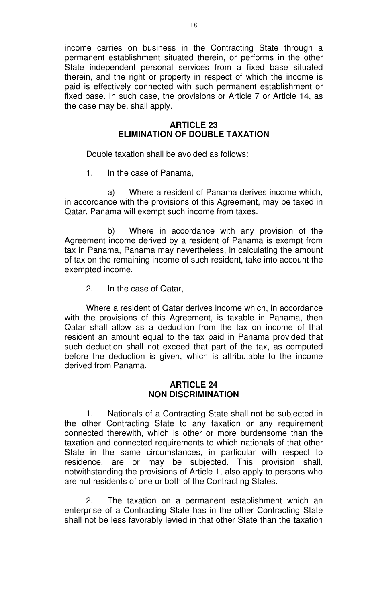income carries on business in the Contracting State through a permanent establishment situated therein, or performs in the other State independent personal services from a fixed base situated therein, and the right or property in respect of which the income is paid is effectively connected with such permanent establishment or fixed base. In such case, the provisions or Article 7 or Article 14, as the case may be, shall apply.

## **ARTICLE 23 ELIMINATION OF DOUBLE TAXATION**

Double taxation shall be avoided as follows:

1. In the case of Panama,

a) Where a resident of Panama derives income which, in accordance with the provisions of this Agreement, may be taxed in Qatar, Panama will exempt such income from taxes.

b) Where in accordance with any provision of the Agreement income derived by a resident of Panama is exempt from tax in Panama, Panama may nevertheless, in calculating the amount of tax on the remaining income of such resident, take into account the exempted income.

2. In the case of Qatar,

Where a resident of Qatar derives income which, in accordance with the provisions of this Agreement, is taxable in Panama, then Qatar shall allow as a deduction from the tax on income of that resident an amount equal to the tax paid in Panama provided that such deduction shall not exceed that part of the tax, as computed before the deduction is given, which is attributable to the income derived from Panama.

#### **ARTICLE 24 NON DISCRIMINATION**

1. Nationals of a Contracting State shall not be subjected in the other Contracting State to any taxation or any requirement connected therewith, which is other or more burdensome than the taxation and connected requirements to which nationals of that other State in the same circumstances, in particular with respect to residence, are or may be subjected. This provision shall, notwithstanding the provisions of Article 1, also apply to persons who are not residents of one or both of the Contracting States.

2. The taxation on a permanent establishment which an enterprise of a Contracting State has in the other Contracting State shall not be less favorably levied in that other State than the taxation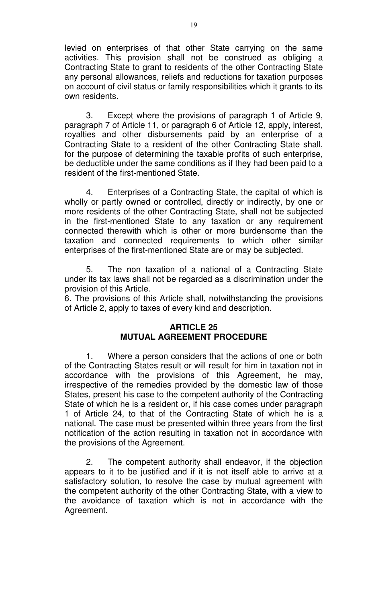levied on enterprises of that other State carrying on the same activities. This provision shall not be construed as obliging a Contracting State to grant to residents of the other Contracting State any personal allowances, reliefs and reductions for taxation purposes on account of civil status or family responsibilities which it grants to its own residents.

3. Except where the provisions of paragraph 1 of Article 9, paragraph 7 of Article 11, or paragraph 6 of Article 12, apply, interest, royalties and other disbursements paid by an enterprise of a Contracting State to a resident of the other Contracting State shall, for the purpose of determining the taxable profits of such enterprise, be deductible under the same conditions as if they had been paid to a resident of the first-mentioned State.

4. Enterprises of a Contracting State, the capital of which is wholly or partly owned or controlled, directly or indirectly, by one or more residents of the other Contracting State, shall not be subjected in the first-mentioned State to any taxation or any requirement connected therewith which is other or more burdensome than the taxation and connected requirements to which other similar enterprises of the first-mentioned State are or may be subjected.

5. The non taxation of a national of a Contracting State under its tax laws shall not be regarded as a discrimination under the provision of this Article.

6. The provisions of this Article shall, notwithstanding the provisions of Article 2, apply to taxes of every kind and description.

## **ARTICLE 25 MUTUAL AGREEMENT PROCEDURE**

1. Where a person considers that the actions of one or both of the Contracting States result or will result for him in taxation not in accordance with the provisions of this Agreement, he may, irrespective of the remedies provided by the domestic law of those States, present his case to the competent authority of the Contracting State of which he is a resident or, if his case comes under paragraph 1 of Article 24, to that of the Contracting State of which he is a national. The case must be presented within three years from the first notification of the action resulting in taxation not in accordance with the provisions of the Agreement.

2. The competent authority shall endeavor, if the objection appears to it to be justified and if it is not itself able to arrive at a satisfactory solution, to resolve the case by mutual agreement with the competent authority of the other Contracting State, with a view to the avoidance of taxation which is not in accordance with the Agreement.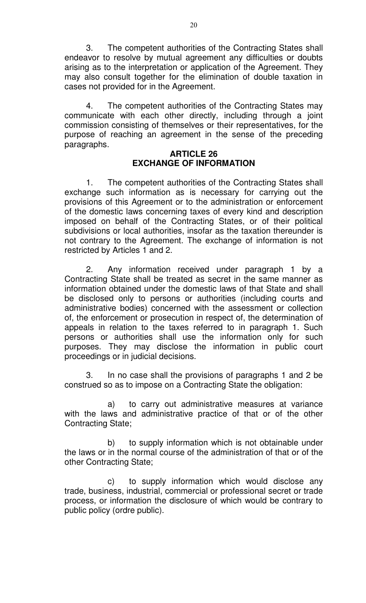3. The competent authorities of the Contracting States shall endeavor to resolve by mutual agreement any difficulties or doubts arising as to the interpretation or application of the Agreement. They may also consult together for the elimination of double taxation in cases not provided for in the Agreement.

4. The competent authorities of the Contracting States may communicate with each other directly, including through a joint commission consisting of themselves or their representatives, for the purpose of reaching an agreement in the sense of the preceding paragraphs.

#### **ARTICLE 26 EXCHANGE OF INFORMATION**

1. The competent authorities of the Contracting States shall exchange such information as is necessary for carrying out the provisions of this Agreement or to the administration or enforcement of the domestic laws concerning taxes of every kind and description imposed on behalf of the Contracting States, or of their political subdivisions or local authorities, insofar as the taxation thereunder is not contrary to the Agreement. The exchange of information is not restricted by Articles 1 and 2.

2. Any information received under paragraph 1 by a Contracting State shall be treated as secret in the same manner as information obtained under the domestic laws of that State and shall be disclosed only to persons or authorities (including courts and administrative bodies) concerned with the assessment or collection of, the enforcement or prosecution in respect of, the determination of appeals in relation to the taxes referred to in paragraph 1. Such persons or authorities shall use the information only for such purposes. They may disclose the information in public court proceedings or in judicial decisions.

3. In no case shall the provisions of paragraphs 1 and 2 be construed so as to impose on a Contracting State the obligation:

a) to carry out administrative measures at variance with the laws and administrative practice of that or of the other Contracting State;

b) to supply information which is not obtainable under the laws or in the normal course of the administration of that or of the other Contracting State;

c) to supply information which would disclose any trade, business, industrial, commercial or professional secret or trade process, or information the disclosure of which would be contrary to public policy (ordre public).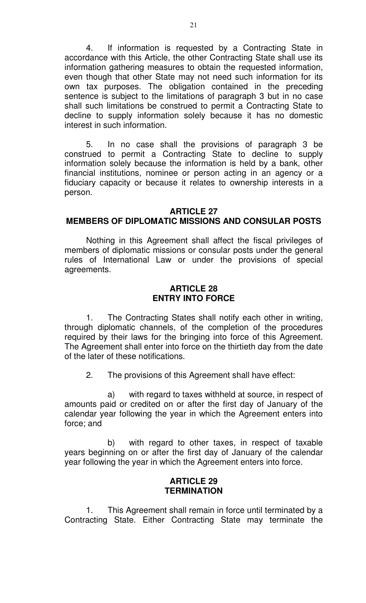4. If information is requested by a Contracting State in accordance with this Article, the other Contracting State shall use its information gathering measures to obtain the requested information, even though that other State may not need such information for its own tax purposes. The obligation contained in the preceding sentence is subject to the limitations of paragraph 3 but in no case shall such limitations be construed to permit a Contracting State to decline to supply information solely because it has no domestic interest in such information.

5. In no case shall the provisions of paragraph 3 be construed to permit a Contracting State to decline to supply information solely because the information is held by a bank, other financial institutions, nominee or person acting in an agency or a fiduciary capacity or because it relates to ownership interests in a person.

#### **ARTICLE 27**

# **MEMBERS OF DIPLOMATIC MISSIONS AND CONSULAR POSTS**

Nothing in this Agreement shall affect the fiscal privileges of members of diplomatic missions or consular posts under the general rules of International Law or under the provisions of special agreements.

#### **ARTICLE 28 ENTRY INTO FORCE**

1. The Contracting States shall notify each other in writing, through diplomatic channels, of the completion of the procedures required by their laws for the bringing into force of this Agreement. The Agreement shall enter into force on the thirtieth day from the date of the later of these notifications.

2. The provisions of this Agreement shall have effect:

a) with regard to taxes withheld at source, in respect of amounts paid or credited on or after the first day of January of the calendar year following the year in which the Agreement enters into force; and

b) with regard to other taxes, in respect of taxable years beginning on or after the first day of January of the calendar year following the year in which the Agreement enters into force.

#### **ARTICLE 29 TERMINATION**

1. This Agreement shall remain in force until terminated by a Contracting State. Either Contracting State may terminate the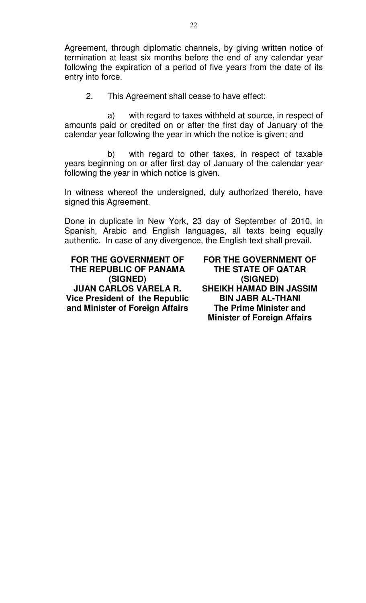Agreement, through diplomatic channels, by giving written notice of termination at least six months before the end of any calendar year following the expiration of a period of five years from the date of its entry into force.

2. This Agreement shall cease to have effect:

a) with regard to taxes withheld at source, in respect of amounts paid or credited on or after the first day of January of the calendar year following the year in which the notice is given; and

b) with regard to other taxes, in respect of taxable years beginning on or after first day of January of the calendar year following the year in which notice is given.

In witness whereof the undersigned, duly authorized thereto, have signed this Agreement.

Done in duplicate in New York, 23 day of September of 2010, in Spanish, Arabic and English languages, all texts being equally authentic. In case of any divergence, the English text shall prevail.

# **FOR THE GOVERNMENT OF THE REPUBLIC OF PANAMA (SIGNED) JUAN CARLOS VARELA R. Vice President of the Republic and Minister of Foreign Affairs**

**FOR THE GOVERNMENT OF THE STATE OF QATAR (SIGNED) SHEIKH HAMAD BIN JASSIM BIN JABR AL-THANI The Prime Minister and Minister of Foreign Affairs**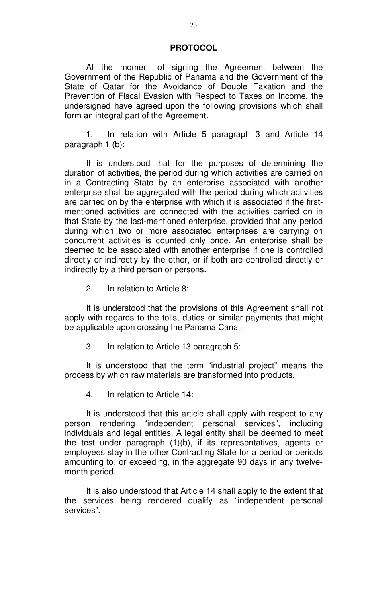#### **PROTOCOL**

At the moment of signing the Agreement between the Government of the Republic of Panama and the Government of the State of Qatar for the Avoidance of Double Taxation and the Prevention of Fiscal Evasion with Respect to Taxes on Income, the undersigned have agreed upon the following provisions which shall form an integral part of the Agreement.

1. In relation with Article 5 paragraph 3 and Article 14 paragraph 1 (b):

It is understood that for the purposes of determining the duration of activities, the period during which activities are carried on in a Contracting State by an enterprise associated with another enterprise shall be aggregated with the period during which activities are carried on by the enterprise with which it is associated if the firstmentioned activities are connected with the activities carried on in that State by the last-mentioned enterprise, provided that any period during which two or more associated enterprises are carrying on concurrent activities is counted only once. An enterprise shall be deemed to be associated with another enterprise if one is controlled directly or indirectly by the other, or if both are controlled directly or indirectly by a third person or persons.

2. In relation to Article 8:

It is understood that the provisions of this Agreement shall not apply with regards to the tolls, duties or similar payments that might be applicable upon crossing the Panama Canal.

3. In relation to Article 13 paragraph 5:

It is understood that the term "industrial project" means the process by which raw materials are transformed into products.

4. In relation to Article 14:

It is understood that this article shall apply with respect to any person rendering "independent personal services", including individuals and legal entities. A legal entity shall be deemed to meet the test under paragraph (1)(b), if its representatives, agents or employees stay in the other Contracting State for a period or periods amounting to, or exceeding, in the aggregate 90 days in any twelvemonth period.

It is also understood that Article 14 shall apply to the extent that the services being rendered qualify as "independent personal services".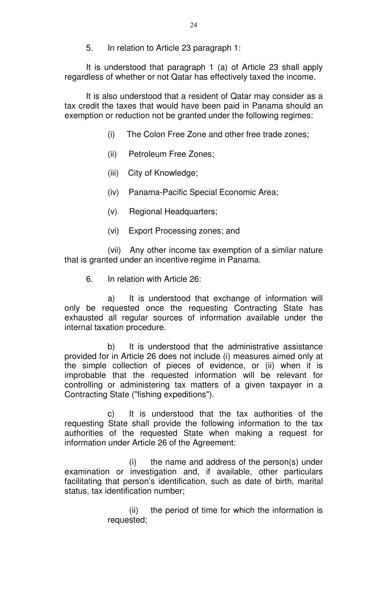5. In relation to Article 23 paragraph 1:

It is understood that paragraph 1 (a) of Article 23 shall apply regardless of whether or not Qatar has effectively taxed the income.

It is also understood that a resident of Qatar may consider as a tax credit the taxes that would have been paid in Panama should an exemption or reduction not be granted under the following regimes:

- (i) The Colon Free Zone and other free trade zones;
- (ii) Petroleum Free Zones;
- (iii) City of Knowledge;
- (iv) Panama-Pacific Special Economic Area;
- (v) Regional Headquarters;
- (vi) Export Processing zones; and

(vii) Any other income tax exemption of a similar nature that is granted under an incentive regime in Panama.

6. In relation with Article 26:

a) It is understood that exchange of information will only be requested once the requesting Contracting State has exhausted all regular sources of information available under the internal taxation procedure.

b) It is understood that the administrative assistance provided for in Article 26 does not include (i) measures aimed only at the simple collection of pieces of evidence, or (ii) when it is improbable that the requested information will be relevant for controlling or administering tax matters of a given taxpayer in a Contracting State ("fishing expeditions").

c) It is understood that the tax authorities of the requesting State shall provide the following information to the tax authorities of the requested State when making a request for information under Article 26 of the Agreement:

(i) the name and address of the person(s) under examination or investigation and, if available, other particulars facilitating that person's identification, such as date of birth, marital status, tax identification number;

> (ii) the period of time for which the information is requested;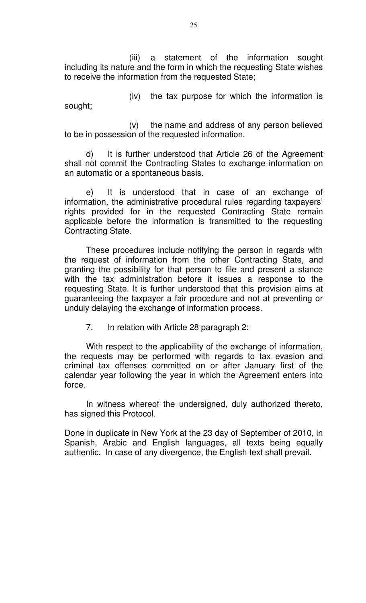(iii) a statement of the information sought including its nature and the form in which the requesting State wishes to receive the information from the requested State;

(iv) the tax purpose for which the information is

(v) the name and address of any person believed to be in possession of the requested information.

sought;

d) It is further understood that Article 26 of the Agreement shall not commit the Contracting States to exchange information on an automatic or a spontaneous basis.

e) It is understood that in case of an exchange of information, the administrative procedural rules regarding taxpayers' rights provided for in the requested Contracting State remain applicable before the information is transmitted to the requesting Contracting State.

These procedures include notifying the person in regards with the request of information from the other Contracting State, and granting the possibility for that person to file and present a stance with the tax administration before it issues a response to the requesting State. It is further understood that this provision aims at guaranteeing the taxpayer a fair procedure and not at preventing or unduly delaying the exchange of information process.

7. In relation with Article 28 paragraph 2:

With respect to the applicability of the exchange of information, the requests may be performed with regards to tax evasion and criminal tax offenses committed on or after January first of the calendar year following the year in which the Agreement enters into force.

In witness whereof the undersigned, duly authorized thereto, has signed this Protocol.

Done in duplicate in New York at the 23 day of September of 2010, in Spanish, Arabic and English languages, all texts being equally authentic. In case of any divergence, the English text shall prevail.